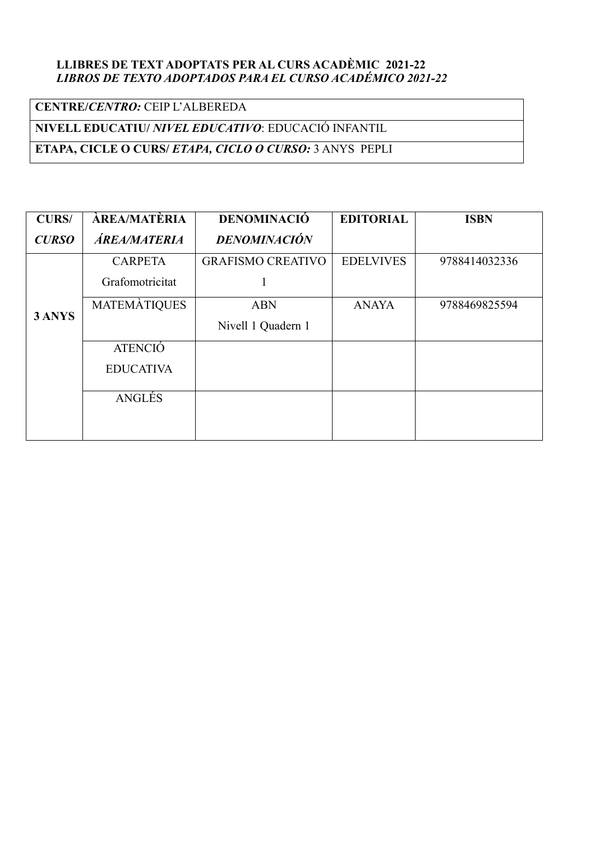### **LLIBRES DE TEXT ADOPTATS PER AL CURS ACADÈMIC 2021-22** *LIBROS DE TEXTO ADOPTADOS PARA EL CURSO ACADÉMICO 2021-22*

**CENTRE/***CENTRO:* CEIP L'ALBEREDA

**NIVELL EDUCATIU/** *NIVEL EDUCATIVO*: EDUCACIÓ INFANTIL

**ETAPA, CICLE O CURS/** *ETAPA, CICLO O CURSO:* 3 ANYS PEPLI

| <b>CURS/</b> | ÀREA/MATÈRIA        | <b>DENOMINACIÓ</b>       | <b>EDITORIAL</b> | <b>ISBN</b>   |
|--------------|---------------------|--------------------------|------------------|---------------|
| <b>CURSO</b> | <b>ÁREA/MATERIA</b> | <b>DENOMINACIÓN</b>      |                  |               |
| 3 ANYS       | <b>CARPETA</b>      | <b>GRAFISMO CREATIVO</b> | <b>EDELVIVES</b> | 9788414032336 |
|              | Grafomotricitat     |                          |                  |               |
|              | <b>MATEMATIQUES</b> | <b>ABN</b>               | <b>ANAYA</b>     | 9788469825594 |
|              |                     | Nivell 1 Quadern 1       |                  |               |
|              | <b>ATENCIÓ</b>      |                          |                  |               |
|              | <b>EDUCATIVA</b>    |                          |                  |               |
|              | ANGLÉS              |                          |                  |               |
|              |                     |                          |                  |               |
|              |                     |                          |                  |               |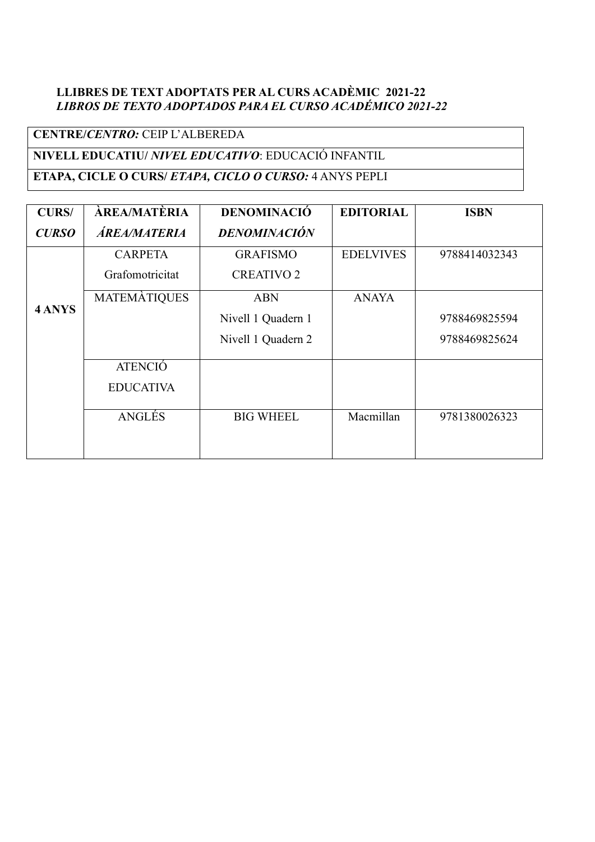### **LLIBRES DE TEXT ADOPTATS PER AL CURS ACADÈMIC 2021-22** *LIBROS DE TEXTO ADOPTADOS PARA EL CURSO ACADÉMICO 2021-22*

### **CENTRE/***CENTRO:* CEIP L'ALBEREDA

## **NIVELL EDUCATIU/** *NIVEL EDUCATIVO*: EDUCACIÓ INFANTIL

# **ETAPA, CICLE O CURS/** *ETAPA, CICLO O CURSO:* 4 ANYS PEPLI

| <b>CURS/</b> | ÀREA/MATÈRIA        | <b>DENOMINACIÓ</b>  | <b>EDITORIAL</b> | <b>ISBN</b>   |
|--------------|---------------------|---------------------|------------------|---------------|
| <b>CURSO</b> | <b>ÁREA/MATERIA</b> | <b>DENOMINACIÓN</b> |                  |               |
| 4 ANYS       | <b>CARPETA</b>      | <b>GRAFISMO</b>     | <b>EDELVIVES</b> | 9788414032343 |
|              | Grafomotricitat     | <b>CREATIVO 2</b>   |                  |               |
|              | <b>MATEMATIQUES</b> | <b>ABN</b>          | <b>ANAYA</b>     |               |
|              |                     | Nivell 1 Quadern 1  |                  | 9788469825594 |
|              |                     | Nivell 1 Quadern 2  |                  | 9788469825624 |
|              | <b>ATENCIÓ</b>      |                     |                  |               |
|              | <b>EDUCATIVA</b>    |                     |                  |               |
|              | ANGLÉS              | <b>BIG WHEEL</b>    | Macmillan        | 9781380026323 |
|              |                     |                     |                  |               |